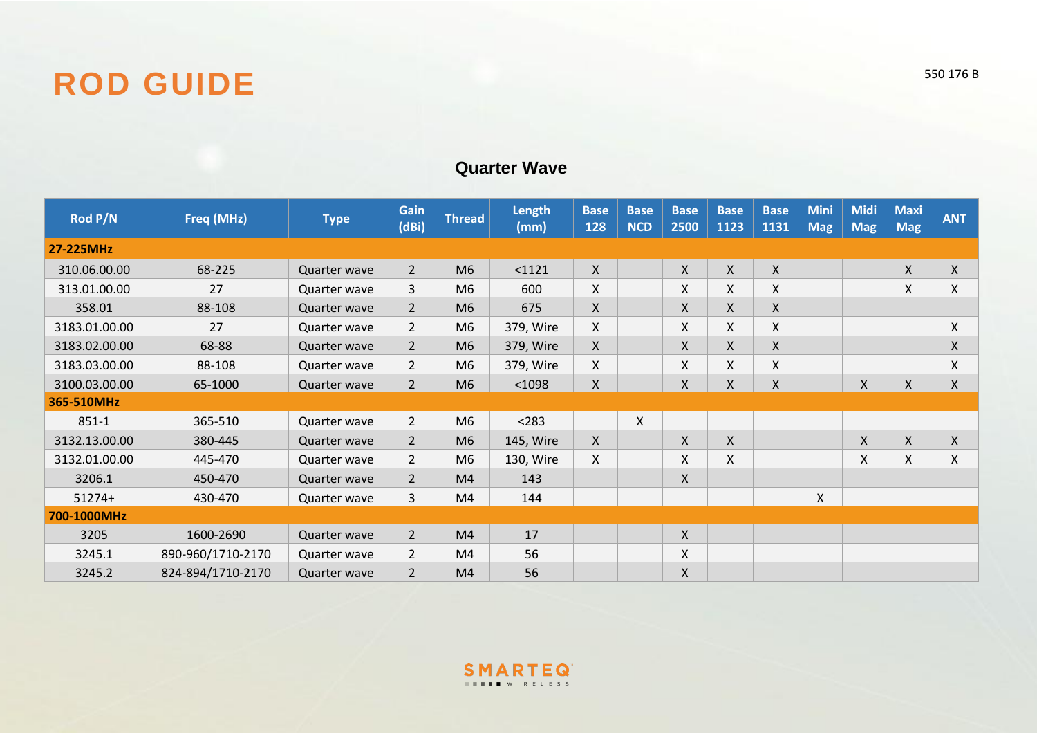

## **Quarter Wave**

| Rod P/N       | Freq (MHz)        | <b>Type</b>  | Gain<br>(dBi)  | <b>Thread</b>  | Length<br>(mm) | <b>Base</b><br>128 | <b>Base</b><br><b>NCD</b> | <b>Base</b><br>2500 | <b>Base</b><br>1123 | <b>Base</b><br>1131 | <b>Mini</b><br><b>Mag</b> | <b>Midi</b><br><b>Mag</b> | <b>Maxi</b><br><b>Mag</b> | <b>ANT</b>   |
|---------------|-------------------|--------------|----------------|----------------|----------------|--------------------|---------------------------|---------------------|---------------------|---------------------|---------------------------|---------------------------|---------------------------|--------------|
| 27-225MHz     |                   |              |                |                |                |                    |                           |                     |                     |                     |                           |                           |                           |              |
| 310.06.00.00  | 68-225            | Quarter wave | $\overline{2}$ | M <sub>6</sub> | $1121$         | X                  |                           | Χ                   | $\mathsf{X}$        | $\pmb{\mathsf{X}}$  |                           |                           | X                         | $\mathsf{X}$ |
| 313.01.00.00  | 27                | Quarter wave | 3              | M6             | 600            | X.                 |                           | X                   | X                   | X                   |                           |                           | X                         | X            |
| 358.01        | 88-108            | Quarter wave | $\overline{2}$ | M <sub>6</sub> | 675            | X                  |                           | X                   | X                   | X                   |                           |                           |                           |              |
| 3183.01.00.00 | 27                | Quarter wave | $\overline{2}$ | M <sub>6</sub> | 379, Wire      | X                  |                           | X                   | X                   | X                   |                           |                           |                           | X            |
| 3183.02.00.00 | 68-88             | Quarter wave | $\overline{2}$ | M <sub>6</sub> | 379, Wire      | X                  |                           | X                   | X                   | X                   |                           |                           |                           | X            |
| 3183.03.00.00 | 88-108            | Quarter wave | $\overline{2}$ | M <sub>6</sub> | 379, Wire      | Χ                  |                           | X                   | X                   | X                   |                           |                           |                           | X            |
| 3100.03.00.00 | 65-1000           | Quarter wave | $2^{\circ}$    | M <sub>6</sub> | $1098$         | Χ                  |                           | X                   | X                   | $\pmb{\mathsf{X}}$  |                           | $\boldsymbol{X}$          | $\mathsf{X}$              | $\mathsf{X}$ |
| 365-510MHz    |                   |              |                |                |                |                    |                           |                     |                     |                     |                           |                           |                           |              |
| $851 - 1$     | 365-510           | Quarter wave | $\overline{2}$ | M <sub>6</sub> | < 283          |                    | $\pmb{\chi}$              |                     |                     |                     |                           |                           |                           |              |
| 3132.13.00.00 | 380-445           | Quarter wave | $\overline{2}$ | M <sub>6</sub> | 145, Wire      | X                  |                           | X                   | $\mathsf{X}$        |                     |                           | $\mathsf{X}$              | X                         | $\mathsf{X}$ |
| 3132.01.00.00 | 445-470           | Quarter wave | $\overline{2}$ | M <sub>6</sub> | 130, Wire      | X                  |                           | X                   | X                   |                     |                           | X                         | X                         | X            |
| 3206.1        | 450-470           | Quarter wave | $\overline{2}$ | M4             | 143            |                    |                           | X                   |                     |                     |                           |                           |                           |              |
| $51274+$      | 430-470           | Quarter wave | 3              | M4             | 144            |                    |                           |                     |                     |                     | X.                        |                           |                           |              |
| 700-1000MHz   |                   |              |                |                |                |                    |                           |                     |                     |                     |                           |                           |                           |              |
| 3205          | 1600-2690         | Quarter wave | $\overline{2}$ | M <sub>4</sub> | 17             |                    |                           | X                   |                     |                     |                           |                           |                           |              |
| 3245.1        | 890-960/1710-2170 | Quarter wave | $\overline{2}$ | M4             | 56             |                    |                           | X                   |                     |                     |                           |                           |                           |              |
| 3245.2        | 824-894/1710-2170 | Quarter wave | $\overline{2}$ | M4             | 56             |                    |                           | X                   |                     |                     |                           |                           |                           |              |

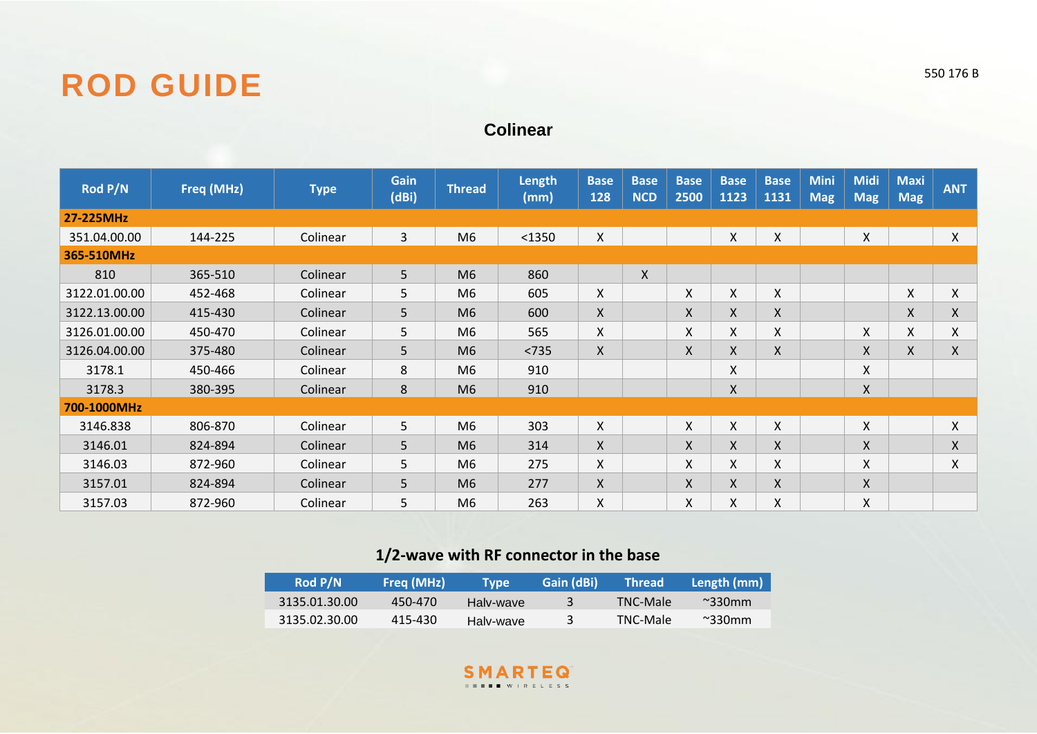## ROD GUIDE 550 176 B

## **Colinear**

| Rod P/N       | Freq (MHz) | <b>Type</b> | <b>Gain</b><br>(dBi) | <b>Thread</b>  | <b>Length</b><br>(mm) | <b>Base</b><br>128 | <b>Base</b><br><b>NCD</b> | <b>Base</b><br>2500 | <b>Base</b><br>1123 | <b>Base</b><br>1131 | <b>Mini</b><br><b>Mag</b> | <b>Midi</b><br><b>Mag</b> | <b>Maxi</b><br><b>Mag</b> | <b>ANT</b> |
|---------------|------------|-------------|----------------------|----------------|-----------------------|--------------------|---------------------------|---------------------|---------------------|---------------------|---------------------------|---------------------------|---------------------------|------------|
| 27-225MHz     |            |             |                      |                |                       |                    |                           |                     |                     |                     |                           |                           |                           |            |
| 351.04.00.00  | 144-225    | Colinear    | $\overline{3}$       | M <sub>6</sub> | $1350$                | Χ                  |                           |                     | X.                  | X                   |                           | Χ                         |                           | X.         |
| 365-510MHz    |            |             |                      |                |                       |                    |                           |                     |                     |                     |                           |                           |                           |            |
| 810           | 365-510    | Colinear    | 5                    | M <sub>6</sub> | 860                   |                    | X                         |                     |                     |                     |                           |                           |                           |            |
| 3122.01.00.00 | 452-468    | Colinear    | 5                    | M6             | 605                   | X                  |                           | X                   | X                   | X                   |                           |                           | X                         | X.         |
| 3122.13.00.00 | 415-430    | Colinear    | 5                    | M6             | 600                   | X                  |                           | X                   | X                   | X                   |                           |                           | X                         | X          |
| 3126.01.00.00 | 450-470    | Colinear    | 5                    | M <sub>6</sub> | 565                   | Χ                  |                           | X                   | X                   | X                   |                           | X                         | X                         | Χ          |
| 3126.04.00.00 | 375-480    | Colinear    | 5                    | M6             | $<735$                | X.                 |                           | X                   | X                   | X                   |                           | X                         | X                         | X.         |
| 3178.1        | 450-466    | Colinear    | 8                    | M <sub>6</sub> | 910                   |                    |                           |                     | Χ                   |                     |                           | X                         |                           |            |
| 3178.3        | 380-395    | Colinear    | 8                    | M <sub>6</sub> | 910                   |                    |                           |                     | Χ                   |                     |                           | $\mathsf{X}$              |                           |            |
| 700-1000MHz   |            |             |                      |                |                       |                    |                           |                     |                     |                     |                           |                           |                           |            |
| 3146.838      | 806-870    | Colinear    | 5                    | M <sub>6</sub> | 303                   | X.                 |                           | Χ                   | X.                  | X                   |                           | X                         |                           | X          |
| 3146.01       | 824-894    | Colinear    | 5                    | M <sub>6</sub> | 314                   | X                  |                           | X                   | X.                  | Χ                   |                           | X                         |                           | X          |
| 3146.03       | 872-960    | Colinear    | 5                    | M <sub>6</sub> | 275                   | X.                 |                           | X                   | X.                  | X                   |                           | X                         |                           | X          |
| 3157.01       | 824-894    | Colinear    | 5                    | M <sub>6</sub> | 277                   | X                  |                           | X                   | X                   | $\pmb{\mathsf{X}}$  |                           | X                         |                           |            |
| 3157.03       | 872-960    | Colinear    | 5                    | M <sub>6</sub> | 263                   | X.                 |                           | Χ                   | X.                  | X                   |                           | X                         |                           |            |

## **1/2-wave with RF connector in the base**

| <b>Rod P/N</b> | Freq (MHz) | Tvpe      | Gain (dBi) | <b>Thread</b> ' | Length (mm)           |
|----------------|------------|-----------|------------|-----------------|-----------------------|
| 3135.01.30.00  | 450-470    | Halv-wave |            | TNC-Male        | $\sim$ 330 $\rm{mm}$  |
| 3135.02.30.00  | 415-430    | Halv-wave |            | TNC-Male        | $~^{\sim}$ 330 $~$ mm |